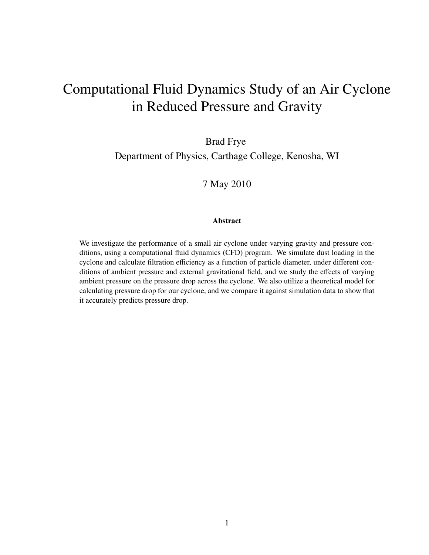# Computational Fluid Dynamics Study of an Air Cyclone in Reduced Pressure and Gravity

Brad Frye

Department of Physics, Carthage College, Kenosha, WI

7 May 2010

#### Abstract

We investigate the performance of a small air cyclone under varying gravity and pressure conditions, using a computational fluid dynamics (CFD) program. We simulate dust loading in the cyclone and calculate filtration efficiency as a function of particle diameter, under different conditions of ambient pressure and external gravitational field, and we study the effects of varying ambient pressure on the pressure drop across the cyclone. We also utilize a theoretical model for calculating pressure drop for our cyclone, and we compare it against simulation data to show that it accurately predicts pressure drop.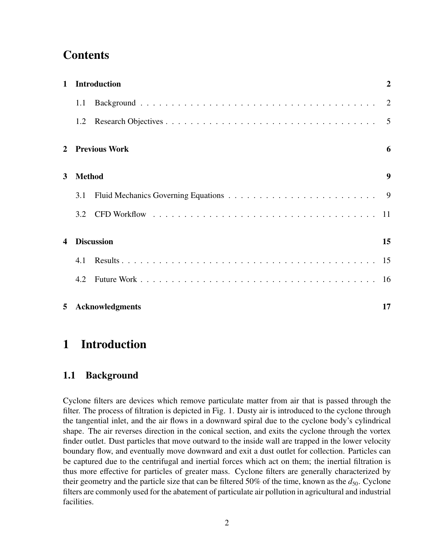# **Contents**

| $\mathbf{1}$                             | <b>Introduction</b> |                      | $\overline{2}$ |
|------------------------------------------|---------------------|----------------------|----------------|
|                                          | 1.1                 |                      |                |
|                                          | 1.2                 |                      |                |
| $\overline{2}$                           |                     | <b>Previous Work</b> | 6              |
| 3                                        | <b>Method</b>       |                      | 9              |
|                                          | 3.1                 |                      | - 9            |
|                                          | 3.2                 |                      |                |
| <b>Discussion</b><br>4                   |                     |                      | 15             |
|                                          | 4.1                 |                      |                |
|                                          | 4.2                 |                      |                |
| <b>Acknowledgments</b><br>5 <sup>1</sup> |                     | 17                   |                |

# 1 Introduction

### 1.1 Background

Cyclone filters are devices which remove particulate matter from air that is passed through the filter. The process of filtration is depicted in Fig. 1. Dusty air is introduced to the cyclone through the tangential inlet, and the air flows in a downward spiral due to the cyclone body's cylindrical shape. The air reverses direction in the conical section, and exits the cyclone through the vortex finder outlet. Dust particles that move outward to the inside wall are trapped in the lower velocity boundary flow, and eventually move downward and exit a dust outlet for collection. Particles can be captured due to the centrifugal and inertial forces which act on them; the inertial filtration is thus more effective for particles of greater mass. Cyclone filters are generally characterized by their geometry and the particle size that can be filtered 50% of the time, known as the  $d_{50}$ . Cyclone filters are commonly used for the abatement of particulate air pollution in agricultural and industrial facilities.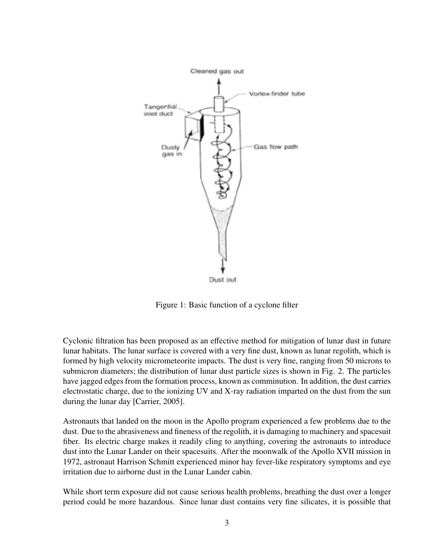

Figure 1: Basic function of a cyclone filter

Cyclonic filtration has been proposed as an effective method for mitigation of lunar dust in future lunar habitats. The lunar surface is covered with a very fine dust, known as lunar regolith, which is formed by high velocity micrometeorite impacts. The dust is very fine, ranging from 50 microns to submicron diameters; the distribution of lunar dust particle sizes is shown in Fig. 2. The particles have jagged edges from the formation process, known as comminution. In addition, the dust carries electrostatic charge, due to the ionizing UV and X-ray radiation imparted on the dust from the sun during the lunar day [Carrier, 2005].

Astronauts that landed on the moon in the Apollo program experienced a few problems due to the dust. Due to the abrasiveness and fineness of the regolith, it is damaging to machinery and spacesuit fiber. Its electric charge makes it readily cling to anything, covering the astronauts to introduce dust into the Lunar Lander on their spacesuits. After the moonwalk of the Apollo XVII mission in 1972, astronaut Harrison Schmitt experienced minor hay fever-like respiratory symptoms and eye irritation due to airborne dust in the Lunar Lander cabin.

While short term exposure did not cause serious health problems, breathing the dust over a longer period could be more hazardous. Since lunar dust contains very fine silicates, it is possible that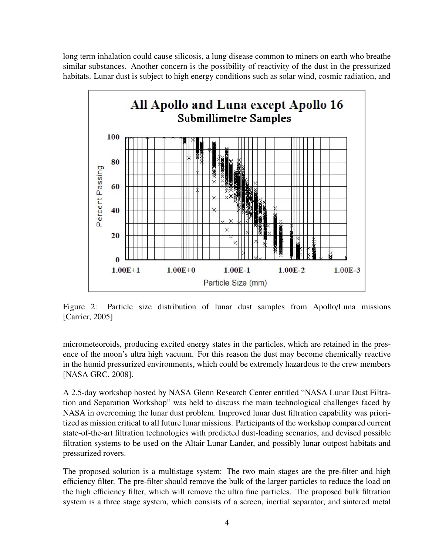long term inhalation could cause silicosis, a lung disease common to miners on earth who breathe similar substances. Another concern is the possibility of reactivity of the dust in the pressurized habitats. Lunar dust is subject to high energy conditions such as solar wind, cosmic radiation, and



Figure 2: Particle size distribution of lunar dust samples from Apollo/Luna missions [Carrier, 2005]

micrometeoroids, producing excited energy states in the particles, which are retained in the presence of the moon's ultra high vacuum. For this reason the dust may become chemically reactive in the humid pressurized environments, which could be extremely hazardous to the crew members [NASA GRC, 2008].

A 2.5-day workshop hosted by NASA Glenn Research Center entitled "NASA Lunar Dust Filtration and Separation Workshop" was held to discuss the main technological challenges faced by NASA in overcoming the lunar dust problem. Improved lunar dust filtration capability was prioritized as mission critical to all future lunar missions. Participants of the workshop compared current state-of-the-art filtration technologies with predicted dust-loading scenarios, and devised possible filtration systems to be used on the Altair Lunar Lander, and possibly lunar outpost habitats and pressurized rovers.

The proposed solution is a multistage system: The two main stages are the pre-filter and high efficiency filter. The pre-filter should remove the bulk of the larger particles to reduce the load on the high efficiency filter, which will remove the ultra fine particles. The proposed bulk filtration system is a three stage system, which consists of a screen, inertial separator, and sintered metal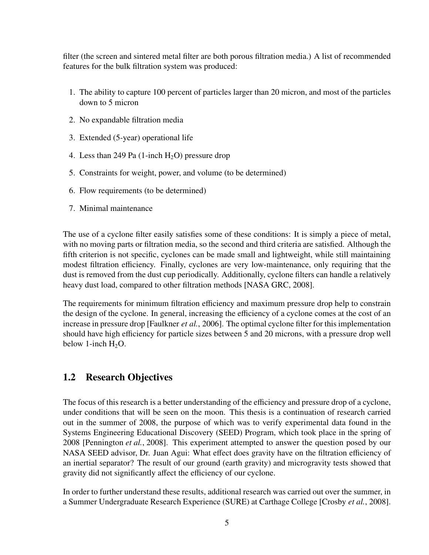filter (the screen and sintered metal filter are both porous filtration media.) A list of recommended features for the bulk filtration system was produced:

- 1. The ability to capture 100 percent of particles larger than 20 micron, and most of the particles down to 5 micron
- 2. No expandable filtration media
- 3. Extended (5-year) operational life
- 4. Less than 249 Pa  $(1\text{-inch H}_2O)$  pressure drop
- 5. Constraints for weight, power, and volume (to be determined)
- 6. Flow requirements (to be determined)
- 7. Minimal maintenance

The use of a cyclone filter easily satisfies some of these conditions: It is simply a piece of metal, with no moving parts or filtration media, so the second and third criteria are satisfied. Although the fifth criterion is not specific, cyclones can be made small and lightweight, while still maintaining modest filtration efficiency. Finally, cyclones are very low-maintenance, only requiring that the dust is removed from the dust cup periodically. Additionally, cyclone filters can handle a relatively heavy dust load, compared to other filtration methods [NASA GRC, 2008].

The requirements for minimum filtration efficiency and maximum pressure drop help to constrain the design of the cyclone. In general, increasing the efficiency of a cyclone comes at the cost of an increase in pressure drop [Faulkner *et al.*, 2006]. The optimal cyclone filter for this implementation should have high efficiency for particle sizes between 5 and 20 microns, with a pressure drop well below 1-inch  $H_2O$ .

### 1.2 Research Objectives

The focus of this research is a better understanding of the efficiency and pressure drop of a cyclone, under conditions that will be seen on the moon. This thesis is a continuation of research carried out in the summer of 2008, the purpose of which was to verify experimental data found in the Systems Engineering Educational Discovery (SEED) Program, which took place in the spring of 2008 [Pennington *et al.*, 2008]. This experiment attempted to answer the question posed by our NASA SEED advisor, Dr. Juan Agui: What effect does gravity have on the filtration efficiency of an inertial separator? The result of our ground (earth gravity) and microgravity tests showed that gravity did not significantly affect the efficiency of our cyclone.

In order to further understand these results, additional research was carried out over the summer, in a Summer Undergraduate Research Experience (SURE) at Carthage College [Crosby *et al.*, 2008].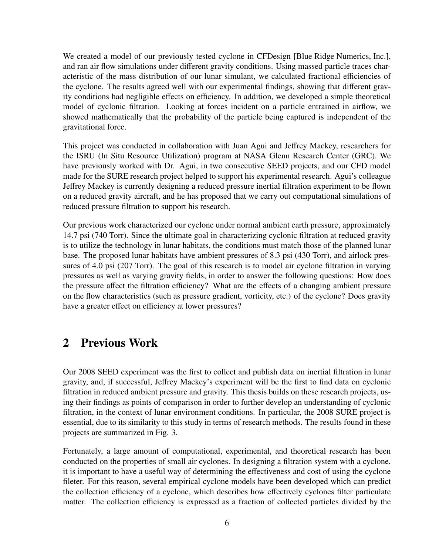We created a model of our previously tested cyclone in CFDesign [Blue Ridge Numerics, Inc.], and ran air flow simulations under different gravity conditions. Using massed particle traces characteristic of the mass distribution of our lunar simulant, we calculated fractional efficiencies of the cyclone. The results agreed well with our experimental findings, showing that different gravity conditions had negligible effects on efficiency. In addition, we developed a simple theoretical model of cyclonic filtration. Looking at forces incident on a particle entrained in airflow, we showed mathematically that the probability of the particle being captured is independent of the gravitational force.

This project was conducted in collaboration with Juan Agui and Jeffrey Mackey, researchers for the ISRU (In Situ Resource Utilization) program at NASA Glenn Research Center (GRC). We have previously worked with Dr. Agui, in two consecutive SEED projects, and our CFD model made for the SURE research project helped to support his experimental research. Agui's colleague Jeffrey Mackey is currently designing a reduced pressure inertial filtration experiment to be flown on a reduced gravity aircraft, and he has proposed that we carry out computational simulations of reduced pressure filtration to support his research.

Our previous work characterized our cyclone under normal ambient earth pressure, approximately 14.7 psi (740 Torr). Since the ultimate goal in characterizing cyclonic filtration at reduced gravity is to utilize the technology in lunar habitats, the conditions must match those of the planned lunar base. The proposed lunar habitats have ambient pressures of 8.3 psi (430 Torr), and airlock pressures of 4.0 psi (207 Torr). The goal of this research is to model air cyclone filtration in varying pressures as well as varying gravity fields, in order to answer the following questions: How does the pressure affect the filtration efficiency? What are the effects of a changing ambient pressure on the flow characteristics (such as pressure gradient, vorticity, etc.) of the cyclone? Does gravity have a greater effect on efficiency at lower pressures?

## 2 Previous Work

Our 2008 SEED experiment was the first to collect and publish data on inertial filtration in lunar gravity, and, if successful, Jeffrey Mackey's experiment will be the first to find data on cyclonic filtration in reduced ambient pressure and gravity. This thesis builds on these research projects, using their findings as points of comparison in order to further develop an understanding of cyclonic filtration, in the context of lunar environment conditions. In particular, the 2008 SURE project is essential, due to its similarity to this study in terms of research methods. The results found in these projects are summarized in Fig. 3.

Fortunately, a large amount of computational, experimental, and theoretical research has been conducted on the properties of small air cyclones. In designing a filtration system with a cyclone, it is important to have a useful way of determining the effectiveness and cost of using the cyclone fileter. For this reason, several empirical cyclone models have been developed which can predict the collection efficiency of a cyclone, which describes how effectively cyclones filter particulate matter. The collection efficiency is expressed as a fraction of collected particles divided by the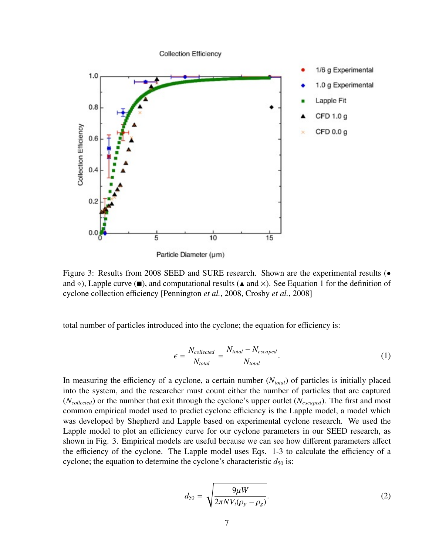

Particle Diameter (µm)

Figure 3: Results from 2008 SEED and SURE research. Shown are the experimental results (• and  $\diamond$ ), Lapple curve ( $\blacksquare$ ), and computational results ( $\blacktriangle$  and  $\times$ ). See Equation 1 for the definition of cyclone collection efficiency [Pennington *et al.*, 2008, Crosby *et al.*, 2008]

total number of particles introduced into the cyclone; the equation for efficiency is:

$$
\epsilon = \frac{N_{collected}}{N_{total}} = \frac{N_{total} - N_{escaped}}{N_{total}}.\tag{1}
$$

In measuring the efficiency of a cyclone, a certain number (*Ntotal*) of particles is initially placed into the system, and the researcher must count either the number of particles that are captured (*Ncollected*) or the number that exit through the cyclone's upper outlet (*Nescaped*). The first and most common empirical model used to predict cyclone efficiency is the Lapple model, a model which was developed by Shepherd and Lapple based on experimental cyclone research. We used the Lapple model to plot an efficiency curve for our cyclone parameters in our SEED research, as shown in Fig. 3. Empirical models are useful because we can see how different parameters affect the efficiency of the cyclone. The Lapple model uses Eqs. 1-3 to calculate the efficiency of a cyclone; the equation to determine the cyclone's characteristic  $d_{50}$  is:

$$
d_{50} = \sqrt{\frac{9\mu W}{2\pi N V_i (\rho_p - \rho_g)}}.
$$
\n(2)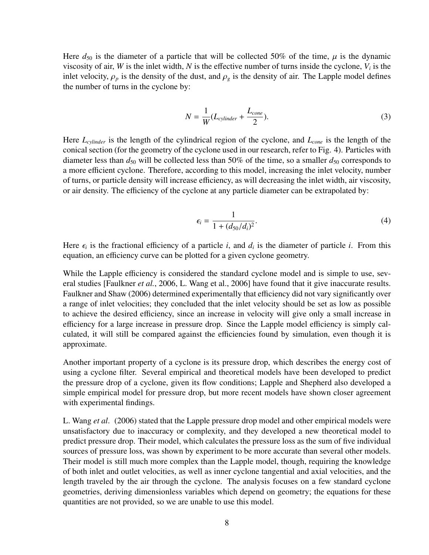Here  $d_{50}$  is the diameter of a particle that will be collected 50% of the time,  $\mu$  is the dynamic viscosity of air, *W* is the inlet width, *N* is the effective number of turns inside the cyclone,  $V_i$  is the inlet velocity,  $\rho_p$  is the density of the dust, and  $\rho_g$  is the density of air. The Lapple model defines the number of turns in the cyclone by:

$$
N = \frac{1}{W}(L_{cylinder} + \frac{L_{cone}}{2}).
$$
\n(3)

Here *Lcylinder* is the length of the cylindrical region of the cyclone, and *Lcone* is the length of the conical section (for the geometry of the cyclone used in our research, refer to Fig. 4). Particles with diameter less than  $d_{50}$  will be collected less than 50% of the time, so a smaller  $d_{50}$  corresponds to a more efficient cyclone. Therefore, according to this model, increasing the inlet velocity, number of turns, or particle density will increase efficiency, as will decreasing the inlet width, air viscosity, or air density. The efficiency of the cyclone at any particle diameter can be extrapolated by:

$$
\epsilon_i = \frac{1}{1 + (d_{50}/d_i)^2}.
$$
\n(4)

Here  $\epsilon_i$  is the fractional efficiency of a particle *i*, and  $d_i$  is the diameter of particle *i*. From this equation an efficiency curve can be plotted for a given cyclone geometry equation, an efficiency curve can be plotted for a given cyclone geometry.

While the Lapple efficiency is considered the standard cyclone model and is simple to use, several studies [Faulkner *et al.*, 2006, L. Wang et al., 2006] have found that it give inaccurate results. Faulkner and Shaw (2006) determined experimentally that efficiency did not vary significantly over a range of inlet velocities; they concluded that the inlet velocity should be set as low as possible to achieve the desired efficiency, since an increase in velocity will give only a small increase in efficiency for a large increase in pressure drop. Since the Lapple model efficiency is simply calculated, it will still be compared against the efficiencies found by simulation, even though it is approximate.

Another important property of a cyclone is its pressure drop, which describes the energy cost of using a cyclone filter. Several empirical and theoretical models have been developed to predict the pressure drop of a cyclone, given its flow conditions; Lapple and Shepherd also developed a simple empirical model for pressure drop, but more recent models have shown closer agreement with experimental findings.

L. Wang *et al*. (2006) stated that the Lapple pressure drop model and other empirical models were unsatisfactory due to inaccuracy or complexity, and they developed a new theoretical model to predict pressure drop. Their model, which calculates the pressure loss as the sum of five individual sources of pressure loss, was shown by experiment to be more accurate than several other models. Their model is still much more complex than the Lapple model, though, requiring the knowledge of both inlet and outlet velocities, as well as inner cyclone tangential and axial velocities, and the length traveled by the air through the cyclone. The analysis focuses on a few standard cyclone geometries, deriving dimensionless variables which depend on geometry; the equations for these quantities are not provided, so we are unable to use this model.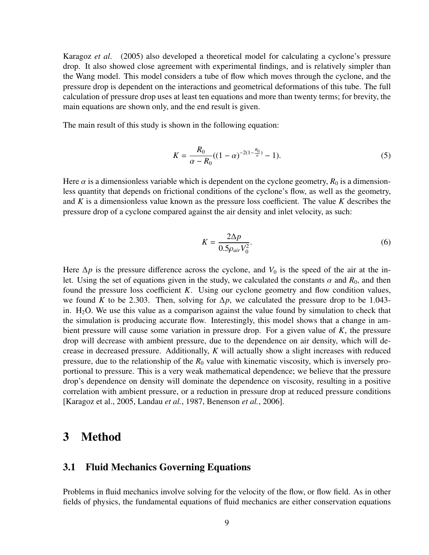Karagoz *et al*. (2005) also developed a theoretical model for calculating a cyclone's pressure drop. It also showed close agreement with experimental findings, and is relatively simpler than the Wang model. This model considers a tube of flow which moves through the cyclone, and the pressure drop is dependent on the interactions and geometrical deformations of this tube. The full calculation of pressure drop uses at least ten equations and more than twenty terms; for brevity, the main equations are shown only, and the end result is given.

The main result of this study is shown in the following equation:

$$
K = \frac{R_0}{\alpha - R_0} ((1 - \alpha)^{-2(1 - \frac{R_0}{\alpha})} - 1).
$$
 (5)

Here  $\alpha$  is a dimensionless variable which is dependent on the cyclone geometry,  $R_0$  is a dimensionless quantity that depends on frictional conditions of the cyclone's flow, as well as the geometry, and *K* is a dimensionless value known as the pressure loss coefficient. The value *K* describes the pressure drop of a cyclone compared against the air density and inlet velocity, as such:

$$
K = \frac{2\Delta p}{0.5\rho_{air}V_0^2}.\tag{6}
$$

Here  $\Delta p$  is the pressure difference across the cyclone, and  $V_0$  is the speed of the air at the inlet. Using the set of equations given in the study, we calculated the constants  $\alpha$  and  $R_0$ , and then found the pressure loss coefficient *K*. Using our cyclone geometry and flow condition values, we found *K* to be 2.303. Then, solving for  $\Delta p$ , we calculated the pressure drop to be 1.043in.  $H_2O$ . We use this value as a comparison against the value found by simulation to check that the simulation is producing accurate flow. Interestingly, this model shows that a change in ambient pressure will cause some variation in pressure drop. For a given value of *K*, the pressure drop will decrease with ambient pressure, due to the dependence on air density, which will decrease in decreased pressure. Additionally, *K* will actually show a slight increases with reduced pressure, due to the relationship of the  $R_0$  value with kinematic viscosity, which is inversely proportional to pressure. This is a very weak mathematical dependence; we believe that the pressure drop's dependence on density will dominate the dependence on viscosity, resulting in a positive correlation with ambient pressure, or a reduction in pressure drop at reduced pressure conditions [Karagoz et al., 2005, Landau *et al.*, 1987, Benenson *et al.*, 2006].

### 3 Method

#### 3.1 Fluid Mechanics Governing Equations

Problems in fluid mechanics involve solving for the velocity of the flow, or flow field. As in other fields of physics, the fundamental equations of fluid mechanics are either conservation equations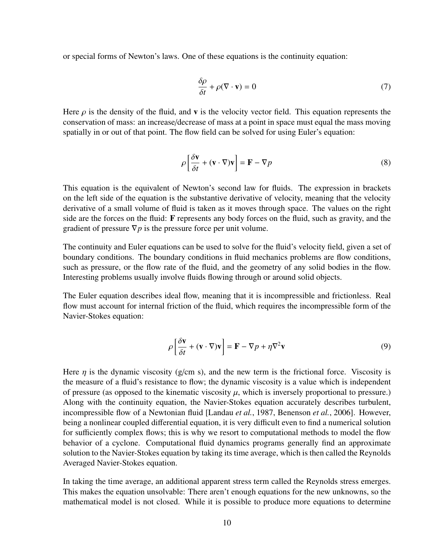or special forms of Newton's laws. One of these equations is the continuity equation:

$$
\frac{\delta \rho}{\delta t} + \rho (\nabla \cdot \mathbf{v}) = 0 \tag{7}
$$

Here  $\rho$  is the density of the fluid, and **v** is the velocity vector field. This equation represents the conservation of mass: an increase/decrease of mass at a point in space must equal the mass moving spatially in or out of that point. The flow field can be solved for using Euler's equation:

$$
\rho \left[ \frac{\delta \mathbf{v}}{\delta t} + (\mathbf{v} \cdot \nabla) \mathbf{v} \right] = \mathbf{F} - \nabla p \tag{8}
$$

This equation is the equivalent of Newton's second law for fluids. The expression in brackets on the left side of the equation is the substantive derivative of velocity, meaning that the velocity derivative of a small volume of fluid is taken as it moves through space. The values on the right side are the forces on the fluid: F represents any body forces on the fluid, such as gravity, and the gradient of pressure  $\nabla p$  is the pressure force per unit volume.

The continuity and Euler equations can be used to solve for the fluid's velocity field, given a set of boundary conditions. The boundary conditions in fluid mechanics problems are flow conditions, such as pressure, or the flow rate of the fluid, and the geometry of any solid bodies in the flow. Interesting problems usually involve fluids flowing through or around solid objects.

The Euler equation describes ideal flow, meaning that it is incompressible and frictionless. Real flow must account for internal friction of the fluid, which requires the incompressible form of the Navier-Stokes equation:

$$
\rho \left[ \frac{\delta \mathbf{v}}{\delta t} + (\mathbf{v} \cdot \nabla) \mathbf{v} \right] = \mathbf{F} - \nabla p + \eta \nabla^2 \mathbf{v}
$$
\n(9)

Here  $\eta$  is the dynamic viscosity (g/cm s), and the new term is the frictional force. Viscosity is the measure of a fluid's resistance to flow; the dynamic viscosity is a value which is independent of pressure (as opposed to the kinematic viscosity  $\mu$ , which is inversely proportional to pressure.) Along with the continuity equation, the Navier-Stokes equation accurately describes turbulent, incompressible flow of a Newtonian fluid [Landau *et al.*, 1987, Benenson *et al.*, 2006]. However, being a nonlinear coupled differential equation, it is very difficult even to find a numerical solution for sufficiently complex flows; this is why we resort to computational methods to model the flow behavior of a cyclone. Computational fluid dynamics programs generally find an approximate solution to the Navier-Stokes equation by taking its time average, which is then called the Reynolds Averaged Navier-Stokes equation.

In taking the time average, an additional apparent stress term called the Reynolds stress emerges. This makes the equation unsolvable: There aren't enough equations for the new unknowns, so the mathematical model is not closed. While it is possible to produce more equations to determine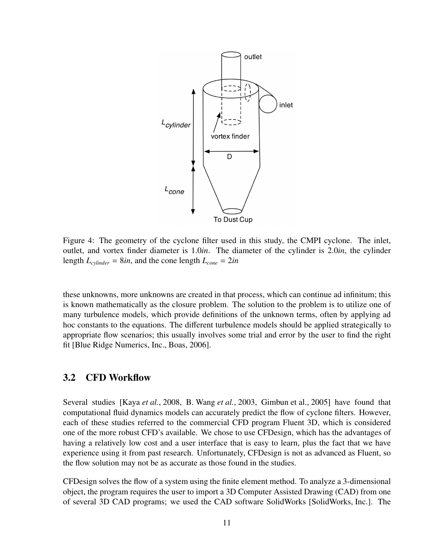

Figure 4: The geometry of the cyclone filter used in this study, the CMPI cyclone. The inlet, outlet, and vortex finder diameter is 1.0*in*. The diameter of the cylinder is 2.0*in*, the cylinder length  $L_{cylinder} = 8in$ , and the cone length  $L_{cone} = 2in$ 

these unknowns, more unknowns are created in that process, which can continue ad infinitum; this is known mathematically as the closure problem. The solution to the problem is to utilize one of many turbulence models, which provide definitions of the unknown terms, often by applying ad hoc constants to the equations. The different turbulence models should be applied strategically to appropriate flow scenarios; this usually involves some trial and error by the user to find the right fit [Blue Ridge Numerics, Inc., Boas, 2006].

#### 3.2 CFD Workflow

Several studies [Kaya *et al.*, 2008, B. Wang *et al.*, 2003, Gimbun et al., 2005] have found that computational fluid dynamics models can accurately predict the flow of cyclone filters. However, each of these studies referred to the commercial CFD program Fluent 3D, which is considered one of the more robust CFD's available. We chose to use CFDesign, which has the advantages of having a relatively low cost and a user interface that is easy to learn, plus the fact that we have experience using it from past research. Unfortunately, CFDesign is not as advanced as Fluent, so the flow solution may not be as accurate as those found in the studies.

CFDesign solves the flow of a system using the finite element method. To analyze a 3-dimensional object, the program requires the user to import a 3D Computer Assisted Drawing (CAD) from one of several 3D CAD programs; we used the CAD software SolidWorks [SolidWorks, Inc.]. The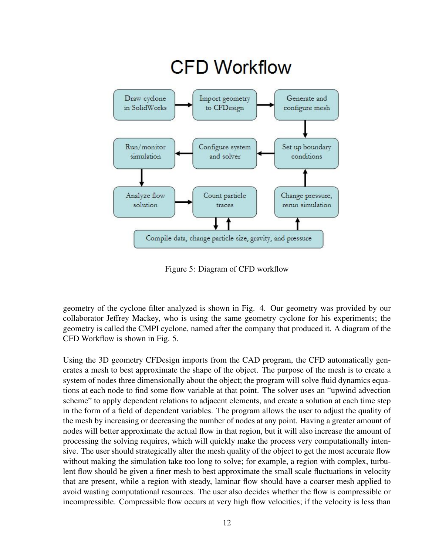

Figure 5: Diagram of CFD workflow

geometry of the cyclone filter analyzed is shown in Fig. 4. Our geometry was provided by our collaborator Jeffrey Mackey, who is using the same geometry cyclone for his experiments; the geometry is called the CMPI cyclone, named after the company that produced it. A diagram of the CFD Workflow is shown in Fig. 5.

Using the 3D geometry CFDesign imports from the CAD program, the CFD automatically generates a mesh to best approximate the shape of the object. The purpose of the mesh is to create a system of nodes three dimensionally about the object; the program will solve fluid dynamics equations at each node to find some flow variable at that point. The solver uses an "upwind advection scheme" to apply dependent relations to adjacent elements, and create a solution at each time step in the form of a field of dependent variables. The program allows the user to adjust the quality of the mesh by increasing or decreasing the number of nodes at any point. Having a greater amount of nodes will better approximate the actual flow in that region, but it will also increase the amount of processing the solving requires, which will quickly make the process very computationally intensive. The user should strategically alter the mesh quality of the object to get the most accurate flow without making the simulation take too long to solve; for example, a region with complex, turbulent flow should be given a finer mesh to best approximate the small scale fluctuations in velocity that are present, while a region with steady, laminar flow should have a coarser mesh applied to avoid wasting computational resources. The user also decides whether the flow is compressible or incompressible. Compressible flow occurs at very high flow velocities; if the velocity is less than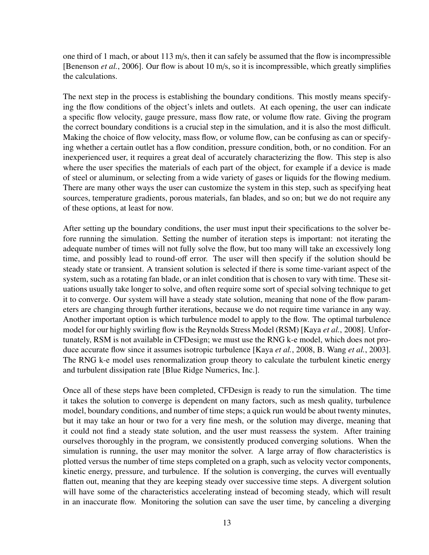one third of 1 mach, or about 113 m/s, then it can safely be assumed that the flow is incompressible [Benenson *et al.*, 2006]. Our flow is about 10 m/s, so it is incompressible, which greatly simplifies the calculations.

The next step in the process is establishing the boundary conditions. This mostly means specifying the flow conditions of the object's inlets and outlets. At each opening, the user can indicate a specific flow velocity, gauge pressure, mass flow rate, or volume flow rate. Giving the program the correct boundary conditions is a crucial step in the simulation, and it is also the most difficult. Making the choice of flow velocity, mass flow, or volume flow, can be confusing as can or specifying whether a certain outlet has a flow condition, pressure condition, both, or no condition. For an inexperienced user, it requires a great deal of accurately characterizing the flow. This step is also where the user specifies the materials of each part of the object, for example if a device is made of steel or aluminum, or selecting from a wide variety of gases or liquids for the flowing medium. There are many other ways the user can customize the system in this step, such as specifying heat sources, temperature gradients, porous materials, fan blades, and so on; but we do not require any of these options, at least for now.

After setting up the boundary conditions, the user must input their specifications to the solver before running the simulation. Setting the number of iteration steps is important: not iterating the adequate number of times will not fully solve the flow, but too many will take an excessively long time, and possibly lead to round-off error. The user will then specify if the solution should be steady state or transient. A transient solution is selected if there is some time-variant aspect of the system, such as a rotating fan blade, or an inlet condition that is chosen to vary with time. These situations usually take longer to solve, and often require some sort of special solving technique to get it to converge. Our system will have a steady state solution, meaning that none of the flow parameters are changing through further iterations, because we do not require time variance in any way. Another important option is which turbulence model to apply to the flow. The optimal turbulence model for our highly swirling flow is the Reynolds Stress Model (RSM) [Kaya *et al.*, 2008]. Unfortunately, RSM is not available in CFDesign; we must use the RNG k-e model, which does not produce accurate flow since it assumes isotropic turbulence [Kaya *et al.*, 2008, B. Wang *et al.*, 2003]. The RNG k-e model uses renormalization group theory to calculate the turbulent kinetic energy and turbulent dissipation rate [Blue Ridge Numerics, Inc.].

Once all of these steps have been completed, CFDesign is ready to run the simulation. The time it takes the solution to converge is dependent on many factors, such as mesh quality, turbulence model, boundary conditions, and number of time steps; a quick run would be about twenty minutes, but it may take an hour or two for a very fine mesh, or the solution may diverge, meaning that it could not find a steady state solution, and the user must reassess the system. After training ourselves thoroughly in the program, we consistently produced converging solutions. When the simulation is running, the user may monitor the solver. A large array of flow characteristics is plotted versus the number of time steps completed on a graph, such as velocity vector components, kinetic energy, pressure, and turbulence. If the solution is converging, the curves will eventually flatten out, meaning that they are keeping steady over successive time steps. A divergent solution will have some of the characteristics accelerating instead of becoming steady, which will result in an inaccurate flow. Monitoring the solution can save the user time, by canceling a diverging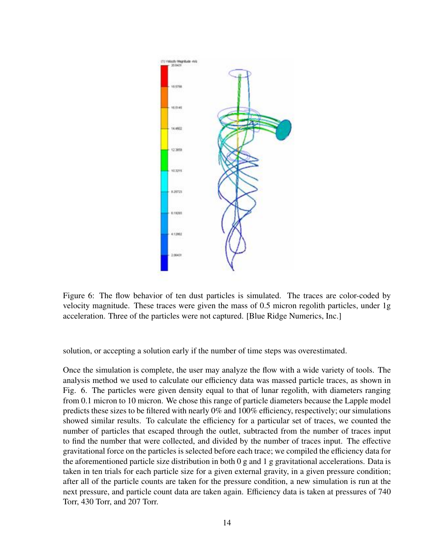

Figure 6: The flow behavior of ten dust particles is simulated. The traces are color-coded by velocity magnitude. These traces were given the mass of 0.5 micron regolith particles, under 1g acceleration. Three of the particles were not captured. [Blue Ridge Numerics, Inc.]

solution, or accepting a solution early if the number of time steps was overestimated.

Once the simulation is complete, the user may analyze the flow with a wide variety of tools. The analysis method we used to calculate our efficiency data was massed particle traces, as shown in Fig. 6. The particles were given density equal to that of lunar regolith, with diameters ranging from 0.1 micron to 10 micron. We chose this range of particle diameters because the Lapple model predicts these sizes to be filtered with nearly 0% and 100% efficiency, respectively; our simulations showed similar results. To calculate the efficiency for a particular set of traces, we counted the number of particles that escaped through the outlet, subtracted from the number of traces input to find the number that were collected, and divided by the number of traces input. The effective gravitational force on the particles is selected before each trace; we compiled the efficiency data for the aforementioned particle size distribution in both 0 g and 1 g gravitational accelerations. Data is taken in ten trials for each particle size for a given external gravity, in a given pressure condition; after all of the particle counts are taken for the pressure condition, a new simulation is run at the next pressure, and particle count data are taken again. Efficiency data is taken at pressures of 740 Torr, 430 Torr, and 207 Torr.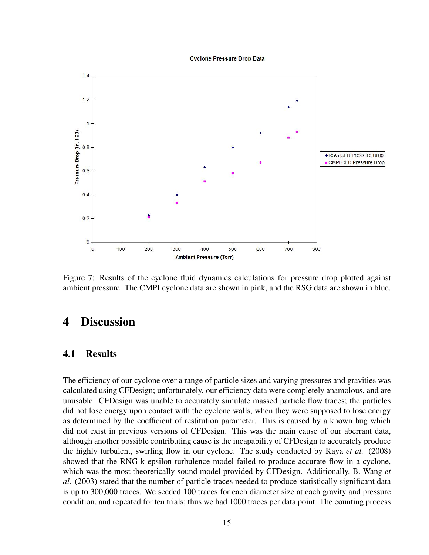**Cyclone Pressure Drop Data** 



Figure 7: Results of the cyclone fluid dynamics calculations for pressure drop plotted against ambient pressure. The CMPI cyclone data are shown in pink, and the RSG data are shown in blue.

### 4 Discussion

#### 4.1 Results

The efficiency of our cyclone over a range of particle sizes and varying pressures and gravities was calculated using CFDesign; unfortunately, our efficiency data were completely anamolous, and are unusable. CFDesign was unable to accurately simulate massed particle flow traces; the particles did not lose energy upon contact with the cyclone walls, when they were supposed to lose energy as determined by the coefficient of restitution parameter. This is caused by a known bug which did not exist in previous versions of CFDesign. This was the main cause of our aberrant data, although another possible contributing cause is the incapability of CFDesign to accurately produce the highly turbulent, swirling flow in our cyclone. The study conducted by Kaya *et al.* (2008) showed that the RNG k-epsilon turbulence model failed to produce accurate flow in a cyclone, which was the most theoretically sound model provided by CFDesign. Additionally, B. Wang *et al.* (2003) stated that the number of particle traces needed to produce statistically significant data is up to 300,000 traces. We seeded 100 traces for each diameter size at each gravity and pressure condition, and repeated for ten trials; thus we had 1000 traces per data point. The counting process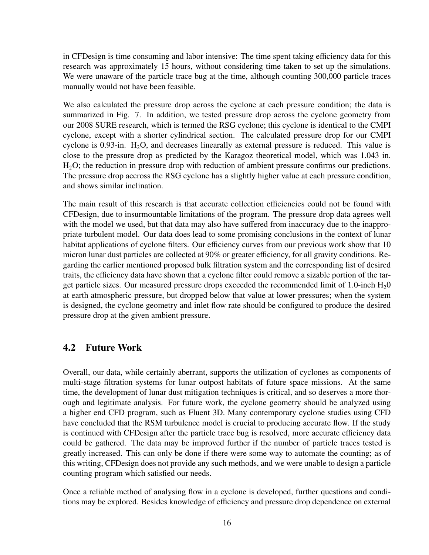in CFDesign is time consuming and labor intensive: The time spent taking efficiency data for this research was approximately 15 hours, without considering time taken to set up the simulations. We were unaware of the particle trace bug at the time, although counting 300,000 particle traces manually would not have been feasible.

We also calculated the pressure drop across the cyclone at each pressure condition; the data is summarized in Fig. 7. In addition, we tested pressure drop across the cyclone geometry from our 2008 SURE research, which is termed the RSG cyclone; this cyclone is identical to the CMPI cyclone, except with a shorter cylindrical section. The calculated pressure drop for our CMPI cyclone is 0.93-in.  $H_2O$ , and decreases linearally as external pressure is reduced. This value is close to the pressure drop as predicted by the Karagoz theoretical model, which was 1.043 in. H<sub>2</sub>O; the reduction in pressure drop with reduction of ambient pressure confirms our predictions. The pressure drop accross the RSG cyclone has a slightly higher value at each pressure condition, and shows similar inclination.

The main result of this research is that accurate collection efficiencies could not be found with CFDesign, due to insurmountable limitations of the program. The pressure drop data agrees well with the model we used, but that data may also have suffered from inaccuracy due to the inappropriate turbulent model. Our data does lead to some promising conclusions in the context of lunar habitat applications of cyclone filters. Our efficiency curves from our previous work show that 10 micron lunar dust particles are collected at 90% or greater efficiency, for all gravity conditions. Regarding the earlier mentioned proposed bulk filtration system and the corresponding list of desired traits, the efficiency data have shown that a cyclone filter could remove a sizable portion of the target particle sizes. Our measured pressure drops exceeded the recommended limit of 1.0-inch  $H<sub>2</sub>0$ at earth atmospheric pressure, but dropped below that value at lower pressures; when the system is designed, the cyclone geometry and inlet flow rate should be configured to produce the desired pressure drop at the given ambient pressure.

### 4.2 Future Work

Overall, our data, while certainly aberrant, supports the utilization of cyclones as components of multi-stage filtration systems for lunar outpost habitats of future space missions. At the same time, the development of lunar dust mitigation techniques is critical, and so deserves a more thorough and legitimate analysis. For future work, the cyclone geometry should be analyzed using a higher end CFD program, such as Fluent 3D. Many contemporary cyclone studies using CFD have concluded that the RSM turbulence model is crucial to producing accurate flow. If the study is continued with CFDesign after the particle trace bug is resolved, more accurate efficiency data could be gathered. The data may be improved further if the number of particle traces tested is greatly increased. This can only be done if there were some way to automate the counting; as of this writing, CFDesign does not provide any such methods, and we were unable to design a particle counting program which satisfied our needs.

Once a reliable method of analysing flow in a cyclone is developed, further questions and conditions may be explored. Besides knowledge of efficiency and pressure drop dependence on external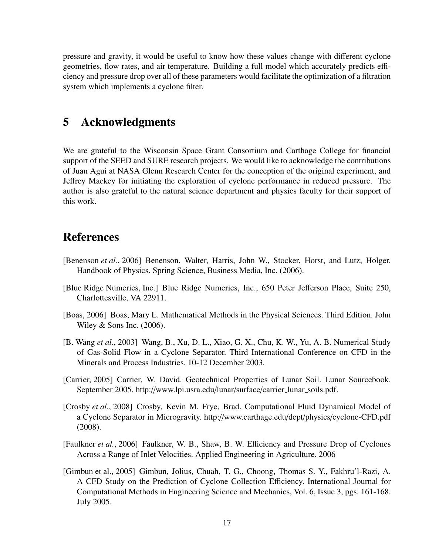pressure and gravity, it would be useful to know how these values change with different cyclone geometries, flow rates, and air temperature. Building a full model which accurately predicts efficiency and pressure drop over all of these parameters would facilitate the optimization of a filtration system which implements a cyclone filter.

### 5 Acknowledgments

We are grateful to the Wisconsin Space Grant Consortium and Carthage College for financial support of the SEED and SURE research projects. We would like to acknowledge the contributions of Juan Agui at NASA Glenn Research Center for the conception of the original experiment, and Jeffrey Mackey for initiating the exploration of cyclone performance in reduced pressure. The author is also grateful to the natural science department and physics faculty for their support of this work.

### References

- [Benenson *et al.*, 2006] Benenson, Walter, Harris, John W., Stocker, Horst, and Lutz, Holger. Handbook of Physics. Spring Science, Business Media, Inc. (2006).
- [Blue Ridge Numerics, Inc.] Blue Ridge Numerics, Inc., 650 Peter Jefferson Place, Suite 250, Charlottesville, VA 22911.
- [Boas, 2006] Boas, Mary L. Mathematical Methods in the Physical Sciences. Third Edition. John Wiley & Sons Inc. (2006).
- [B. Wang *et al.*, 2003] Wang, B., Xu, D. L., Xiao, G. X., Chu, K. W., Yu, A. B. Numerical Study of Gas-Solid Flow in a Cyclone Separator. Third International Conference on CFD in the Minerals and Process Industries. 10-12 December 2003.
- [Carrier, 2005] Carrier, W. David. Geotechnical Properties of Lunar Soil. Lunar Sourcebook. September 2005. http://www.lpi.usra.edu/lunar/surface/carrier\_lunar\_soils.pdf.
- [Crosby *et al.*, 2008] Crosby, Kevin M, Frye, Brad. Computational Fluid Dynamical Model of a Cyclone Separator in Microgravity. http://www.carthage.edu/dept/physics/cyclone-CFD.pdf (2008).
- [Faulkner *et al.*, 2006] Faulkner, W. B., Shaw, B. W. Efficiency and Pressure Drop of Cyclones Across a Range of Inlet Velocities. Applied Engineering in Agriculture. 2006
- [Gimbun et al., 2005] Gimbun, Jolius, Chuah, T. G., Choong, Thomas S. Y., Fakhru'l-Razi, A. A CFD Study on the Prediction of Cyclone Collection Efficiency. International Journal for Computational Methods in Engineering Science and Mechanics, Vol. 6, Issue 3, pgs. 161-168. July 2005.